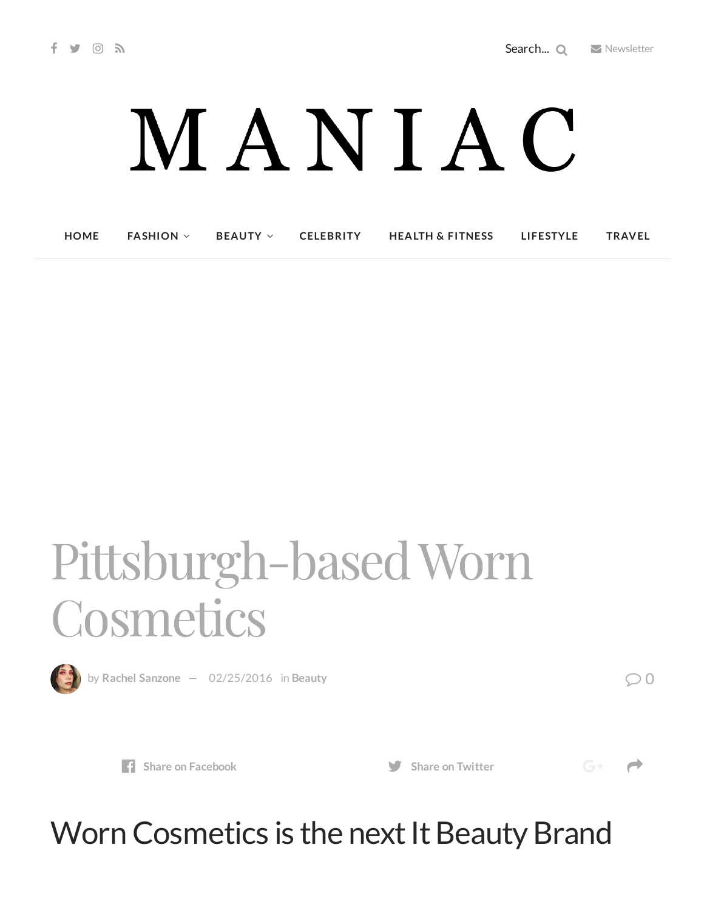# MANIAC

**[HOME](http://maniacmagazine.com/) [FASHION](http://maniacmagazine.com/fashion/) [BEAUTY](http://maniacmagazine.com/beauty/) [CELEBRITY](http://maniacmagazine.com/celebrity/) HEALTH & [FITNESS](http://maniacmagazine.com/beauty/health-and-fitness/) [LIFESTYLE](http://maniacmagazine.com/lifestyle/) [TRAVEL](http://maniacmagazine.com/life/travel/)**

## Pittsburgh-basedWorn Cosmetics



by Rachel [Sanzone](http://maniacmagazine.com/author/rachel/)  $-$  [02/25/2016](http://maniacmagazine.com/beauty/pittsburgh-based-worn-cosmetics/) in [Beauty](http://maniacmagazine.com/beauty/) **6.1 and 1.1 and 1.1 and 1.1 and 1.1 and 1.1 and 1.1 and 1.1 and 1.1 and 1.1 and 1.1 and 1.1 and 1.1 and 1.1 and 1.1 and 1.1 and 1.1 and 1.1 and 1.1 and 1.1 and 1.1 and 1.1 and 1** 

 $G^+$   $\rightarrow$ 



## Worn Cosmetics is the next It Beauty Brand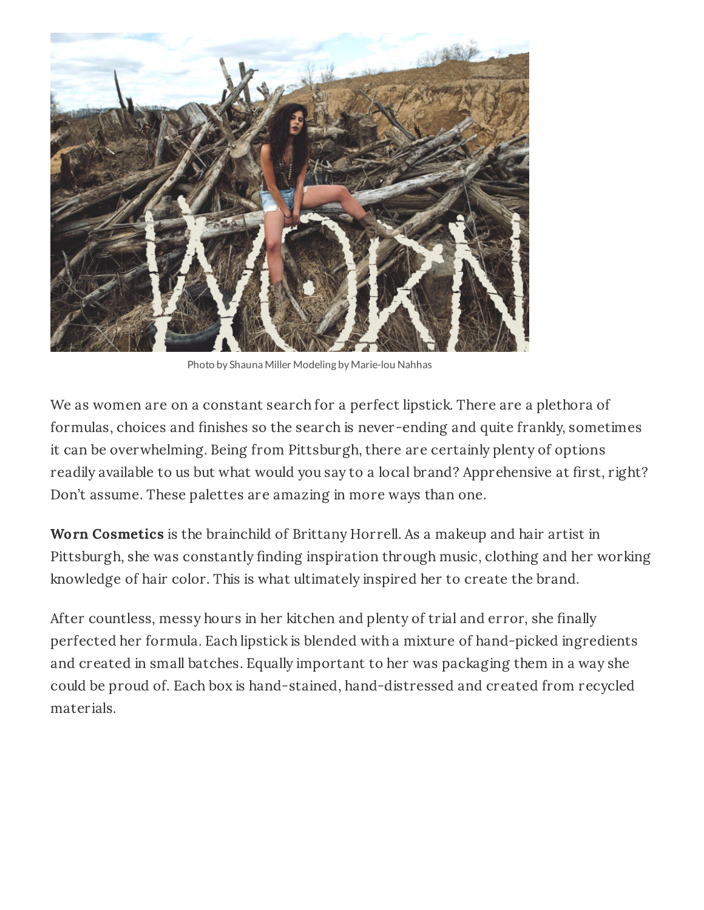

Photo by Shauna Miller Modeling by Marie-lou Nahhas

We as women are on a constant search for a perfect lipstick. There are a plethora of formulas, choices and finishes so the search is never-ending and quite frankly, sometimes it can be overwhelming. Being from Pittsburgh, there are certainly plenty of options readily available to us but what would you say to a local brand? Apprehensive at first, right? Don't assume. These palettes are amazing in more ways than one.

**Worn Cosmetics** is the brainchild of Brittany Horrell. As a makeup and hair artist in Pittsburgh, she was constantly finding inspiration through music, clothing and her working knowledge of hair color. This is what ultimately inspired her to create the brand.

After countless, messy hours in her kitchen and plenty of trial and error, she finally perfected her formula. Each lipstick is blended with a mixture of hand-picked ingredients and created in small batches. Equally important to her was packaging them in a way she could be proud of. Each box is hand-stained, hand-distressed and created from recycled materials.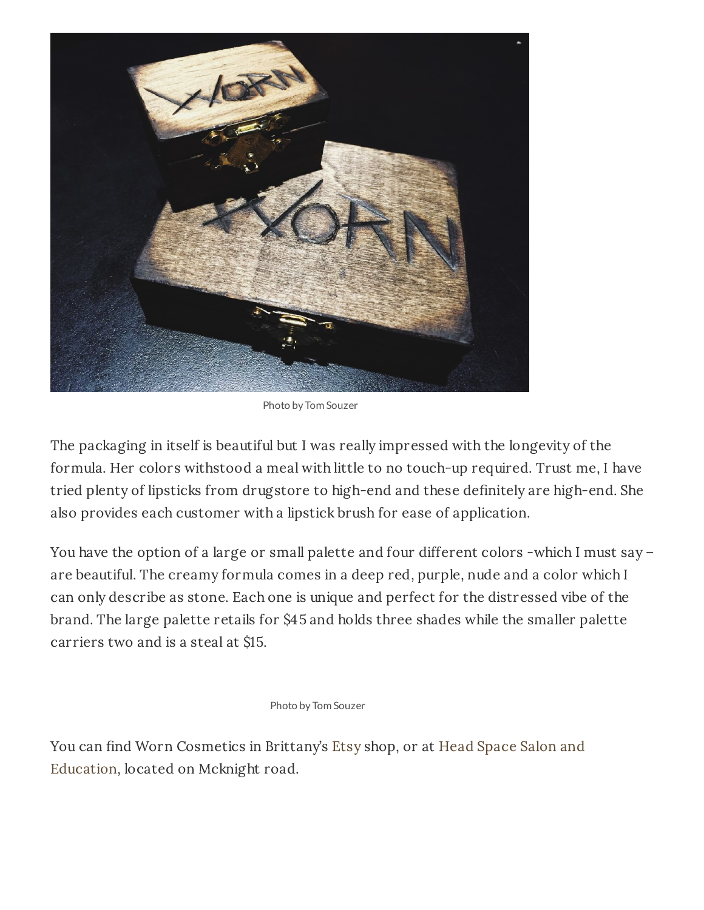

Photo by Tom Souzer

The packaging in itself is beautiful but I was really impressed with the longevity of the formula. Her colors withstood a meal with little to no touch-up required. Trust me, I have tried plenty of lipsticks from drugstore to high-end and these definitely are high-end. She also provides each customer with a lipstick brush for ease of application.

You have the option of a large or small palette and four different colors -which I must say are beautiful. The creamy formula comes in a deep red, purple, nude and a color which I can only describe as stone. Each one is unique and perfect for the distressed vibe of the brand. The large palette retails for \$45 and holds three shades while the smaller palette carriers two and is a steal at \$15.

Photo by Tom Souzer

You can find Worn [Cosmetics](http://www.headspacesalonpittsburgh.com/) in Brittany's [Etsy](https://www.etsy.com/shop/WornCosmetics?ref=l2-shopheader-name) shop, or at Head Space Salon and Education, located on Mcknight road.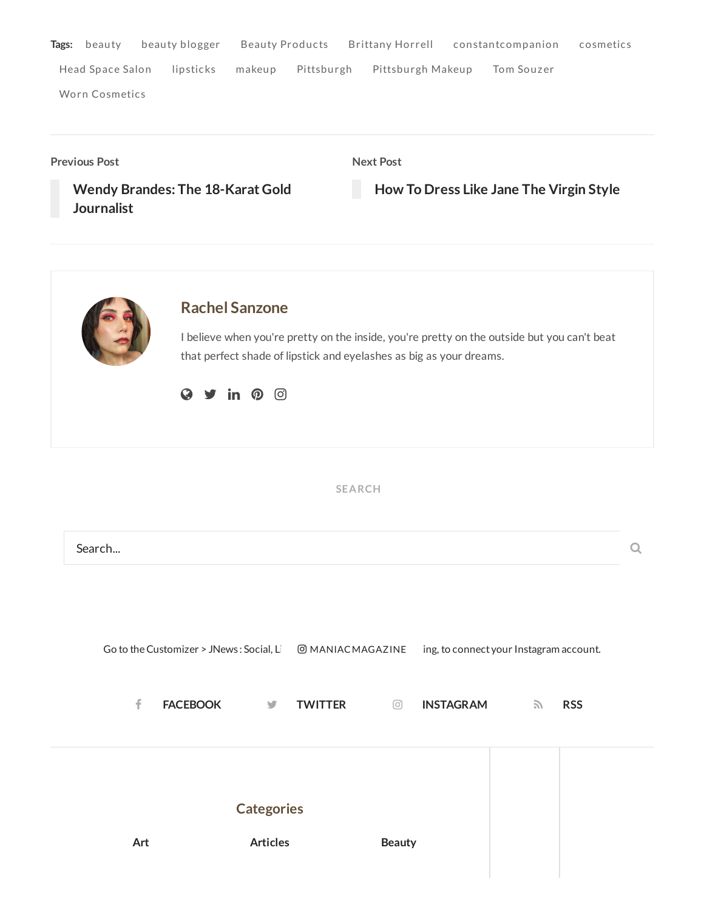| Tags: | beautv                | beauty blogger | Beauty Products |            | Brittany Horrell constantcompanion |            | cosmetics |
|-------|-----------------------|----------------|-----------------|------------|------------------------------------|------------|-----------|
|       | Head Space Salon      | lipsticks      | makeup          | Pittsburgh | Pittsburgh Makeup                  | Tom Souzer |           |
|       | <b>Worn Cosmetics</b> |                |                 |            |                                    |            |           |

**Previous Post**

**Next Post**

**Wendy Brandes: The 18-Karat Gold [Journalist](http://maniacmagazine.com/fashion/wendy-brandes-the-18-karat-gold-journalist/)**

**How To Dress Like Jane The [Virgin](http://maniacmagazine.com/fashion/how-to-dress-like-jane-the-virgin-style/) Style**



### **Rachel [Sanzone](http://maniacmagazine.com/author/rachel/)**

I believe when you're pretty on the inside, you're pretty on the outside but you can't beat that perfect shade of lipstick and eyelashes as big as your dreams.

 $Q \times in 0$ 

**SEARCH**

| Search                                   |                   |                        |                                         |                             |  |
|------------------------------------------|-------------------|------------------------|-----------------------------------------|-----------------------------|--|
| Go to the Customizer > JNews: Social, Li |                   | <b>@MANIACMAGAZINE</b> | ing, to connect your Instagram account. |                             |  |
| f<br><b>FACEBOOK</b>                     | $\mathbf{v}$      | <b>TWITTER</b><br>⊙    | <b>INSTAGRAM</b>                        | $\mathcal{L}$<br><b>RSS</b> |  |
|                                          |                   |                        |                                         |                             |  |
|                                          | <b>Categories</b> |                        |                                         |                             |  |
| Art                                      | <b>Articles</b>   | <b>Beauty</b>          |                                         |                             |  |